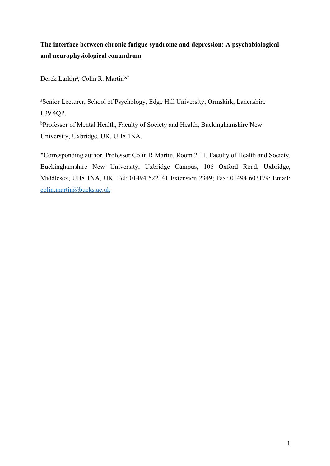# **The interface between chronic fatigue syndrome and depression: A psychobiological and neurophysiological conundrum**

Derek Larkin<sup>a</sup>, Colin R. Martin<sup>b,\*</sup>

a Senior Lecturer, School of Psychology, Edge Hill University, Ormskirk, Lancashire L39 4QP.

bProfessor of Mental Health, Faculty of Society and Health, Buckinghamshire New University, Uxbridge, UK, UB8 1NA.

\*Corresponding author. Professor Colin R Martin, Room 2.11, Faculty of Health and Society, Buckinghamshire New University, Uxbridge Campus, 106 Oxford Road, Uxbridge, Middlesex, UB8 1NA, UK. Tel: 01494 522141 Extension 2349; Fax: 01494 603179; Email: colin.martin@bucks.ac.uk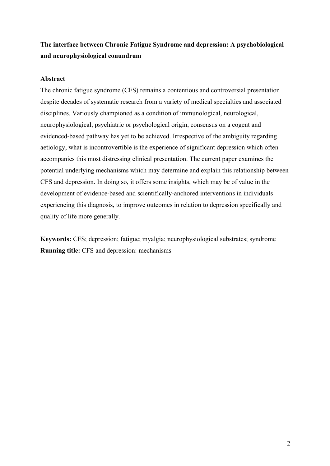## **The interface between Chronic Fatigue Syndrome and depression: A psychobiological and neurophysiological conundrum**

## **Abstract**

The chronic fatigue syndrome (CFS) remains a contentious and controversial presentation despite decades of systematic research from a variety of medical specialties and associated disciplines. Variously championed as a condition of immunological, neurological, neurophysiological, psychiatric or psychological origin, consensus on a cogent and evidenced-based pathway has yet to be achieved. Irrespective of the ambiguity regarding aetiology, what is incontrovertible is the experience of significant depression which often accompanies this most distressing clinical presentation. The current paper examines the potential underlying mechanisms which may determine and explain this relationship between CFS and depression. In doing so, it offers some insights, which may be of value in the development of evidence-based and scientifically-anchored interventions in individuals experiencing this diagnosis, to improve outcomes in relation to depression specifically and quality of life more generally.

**Keywords:** CFS; depression; fatigue; myalgia; neurophysiological substrates; syndrome **Running title:** CFS and depression: mechanisms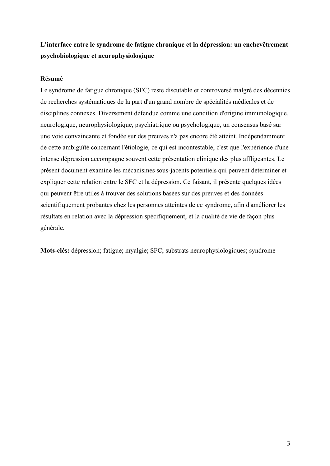## **L'interface entre le syndrome de fatigue chronique et la dépression: un enchevêtrement psychobiologique et neurophysiologique**

#### **Résumé**

Le syndrome de fatigue chronique (SFC) reste discutable et controversé malgré des décennies de recherches systématiques de la part d'un grand nombre de spécialités médicales et de disciplines connexes. Diversement défendue comme une condition d'origine immunologique, neurologique, neurophysiologique, psychiatrique ou psychologique, un consensus basé sur une voie convaincante et fondée sur des preuves n'a pas encore été atteint. Indépendamment de cette ambiguïté concernant l'étiologie, ce qui est incontestable, c'est que l'expérience d'une intense dépression accompagne souvent cette présentation clinique des plus affligeantes. Le présent document examine les mécanismes sous-jacents potentiels qui peuvent déterminer et expliquer cette relation entre le SFC et la dépression. Ce faisant, il présente quelques idées qui peuvent être utiles à trouver des solutions basées sur des preuves et des données scientifiquement probantes chez les personnes atteintes de ce syndrome, afin d'améliorer les résultats en relation avec la dépression spécifiquement, et la qualité de vie de façon plus générale.

**Mots-clés:** dépression; fatigue; myalgie; SFC; substrats neurophysiologiques; syndrome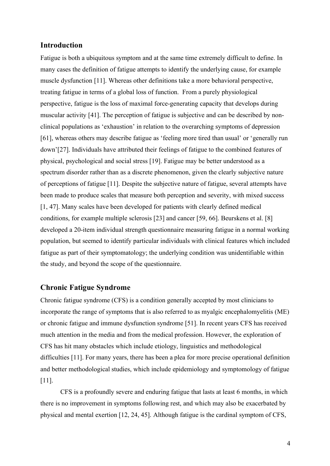### **Introduction**

Fatigue is both a ubiquitous symptom and at the same time extremely difficult to define. In many cases the definition of fatigue attempts to identify the underlying cause, for example muscle dysfunction [11]. Whereas other definitions take a more behavioral perspective, treating fatigue in terms of a global loss of function. From a purely physiological perspective, fatigue is the loss of maximal force-generating capacity that develops during muscular activity [41]. The perception of fatigue is subjective and can be described by nonclinical populations as 'exhaustion' in relation to the overarching symptoms of depression [61], whereas others may describe fatigue as 'feeling more tired than usual' or 'generally run down'[27]. Individuals have attributed their feelings of fatigue to the combined features of physical, psychological and social stress [19]. Fatigue may be better understood as a spectrum disorder rather than as a discrete phenomenon, given the clearly subjective nature of perceptions of fatigue [11]. Despite the subjective nature of fatigue, several attempts have been made to produce scales that measure both perception and severity, with mixed success [1, 47]. Many scales have been developed for patients with clearly defined medical conditions, for example multiple sclerosis [23] and cancer [59, 66]. Beurskens et al. [8] developed a 20-item individual strength questionnaire measuring fatigue in a normal working population, but seemed to identify particular individuals with clinical features which included fatigue as part of their symptomatology; the underlying condition was unidentifiable within the study, and beyond the scope of the questionnaire.

### **Chronic Fatigue Syndrome**

Chronic fatigue syndrome (CFS) is a condition generally accepted by most clinicians to incorporate the range of symptoms that is also referred to as myalgic encephalomyelitis (ME) or chronic fatigue and immune dysfunction syndrome [51]. In recent years CFS has received much attention in the media and from the medical profession. However, the exploration of CFS has hit many obstacles which include etiology, linguistics and methodological difficulties [11]. For many years, there has been a plea for more precise operational definition and better methodological studies, which include epidemiology and symptomology of fatigue [11].

CFS is a profoundly severe and enduring fatigue that lasts at least 6 months, in which there is no improvement in symptoms following rest, and which may also be exacerbated by physical and mental exertion [12, 24, 45]. Although fatigue is the cardinal symptom of CFS,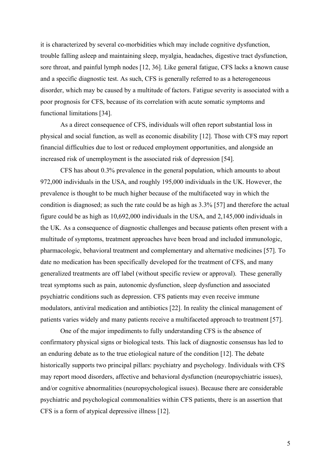it is characterized by several co-morbidities which may include cognitive dysfunction, trouble falling asleep and maintaining sleep, myalgia, headaches, digestive tract dysfunction, sore throat, and painful lymph nodes [12, 36]. Like general fatigue, CFS lacks a known cause and a specific diagnostic test. As such, CFS is generally referred to as a heterogeneous disorder, which may be caused by a multitude of factors. Fatigue severity is associated with a poor prognosis for CFS, because of its correlation with acute somatic symptoms and functional limitations [34].

As a direct consequence of CFS, individuals will often report substantial loss in physical and social function, as well as economic disability [12]. Those with CFS may report financial difficulties due to lost or reduced employment opportunities, and alongside an increased risk of unemployment is the associated risk of depression [54].

CFS has about 0.3% prevalence in the general population, which amounts to about 972,000 individuals in the USA, and roughly 195,000 individuals in the UK. However, the prevalence is thought to be much higher because of the multifaceted way in which the condition is diagnosed; as such the rate could be as high as 3.3% [57] and therefore the actual figure could be as high as 10,692,000 individuals in the USA, and 2,145,000 individuals in the UK. As a consequence of diagnostic challenges and because patients often present with a multitude of symptoms, treatment approaches have been broad and included immunologic, pharmacologic, behavioral treatment and complementary and alternative medicines [57]. To date no medication has been specifically developed for the treatment of CFS, and many generalized treatments are off label (without specific review or approval). These generally treat symptoms such as pain, autonomic dysfunction, sleep dysfunction and associated psychiatric conditions such as depression. CFS patients may even receive immune modulators, antiviral medication and antibiotics [22]. In reality the clinical management of patients varies widely and many patients receive a multifaceted approach to treatment [57].

One of the major impediments to fully understanding CFS is the absence of confirmatory physical signs or biological tests. This lack of diagnostic consensus has led to an enduring debate as to the true etiological nature of the condition [12]. The debate historically supports two principal pillars: psychiatry and psychology. Individuals with CFS may report mood disorders, affective and behavioral dysfunction (neuropsychiatric issues), and/or cognitive abnormalities (neuropsychological issues). Because there are considerable psychiatric and psychological commonalities within CFS patients, there is an assertion that CFS is a form of atypical depressive illness [12].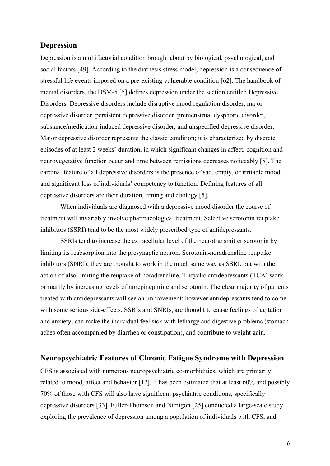### **Depression**

Depression is a multifactorial condition brought about by biological, psychological, and social factors [49]. According to the diathesis stress model, depression is a consequence of stressful life events imposed on a pre-existing vulnerable condition [62]. The handbook of mental disorders, the DSM-5 [5] defines depression under the section entitled Depressive Disorders. Depressive disorders include disruptive mood regulation disorder, major depressive disorder, persistent depressive disorder, premenstrual dysphoric disorder, substance/medication-induced depressive disorder, and unspecified depressive disorder. Major depressive disorder represents the classic condition; it is characterized by discrete episodes of at least 2 weeks' duration, in which significant changes in affect, cognition and neurovegetative function occur and time between remissions decreases noticeably [5]. The cardinal feature of all depressive disorders is the presence of sad, empty, or irritable mood, and significant loss of individuals' competency to function. Defining features of all depressive disorders are their duration, timing and etiology [5].

When individuals are diagnosed with a depressive mood disorder the course of treatment will invariably involve pharmacological treatment. Selective serotonin reuptake inhibitors (SSRI) tend to be the most widely prescribed type of antidepressants.

SSRIs tend to increase the extracellular level of the neurotransmitter serotonin by limiting its reabsorption into the presynaptic neuron. Serotonin-noradrenaline reuptake inhibitors (SNRI), they are thought to work in the much same way as SSRI, but with the action of also limiting the reuptake of noradrenaline. Tricyclic antidepressants (TCA) work primarily by increasing levels of norepinephrine and serotonin. The clear majority of patients treated with antidepressants will see an improvement; however antidepressants tend to come with some serious side-effects. SSRIs and SNRIs, are thought to cause feelings of agitation and anxiety, can make the individual feel sick with lethargy and digestive problems (stomach aches often accompanied by diarrhea or constipation), and contribute to weight gain.

#### **Neuropsychiatric Features of Chronic Fatigue Syndrome with Depression**

CFS is associated with numerous neuropsychiatric co-morbidities, which are primarily related to mood, affect and behavior [12]. It has been estimated that at least 60% and possibly 70% of those with CFS will also have significant psychiatric conditions, specifically depressive disorders [33]. Fuller-Thomson and Nimigon [25] conducted a large-scale study exploring the prevalence of depression among a population of individuals with CFS, and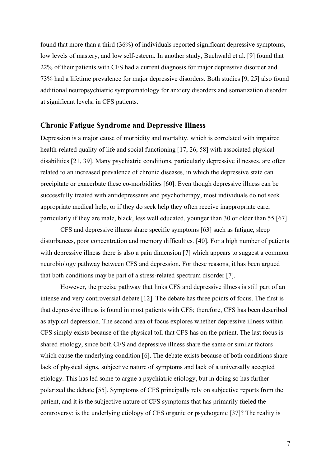found that more than a third (36%) of individuals reported significant depressive symptoms, low levels of mastery, and low self-esteem. In another study, Buchwald et al. [9] found that 22% of their patients with CFS had a current diagnosis for major depressive disorder and 73% had a lifetime prevalence for major depressive disorders. Both studies [9, 25] also found additional neuropsychiatric symptomatology for anxiety disorders and somatization disorder at significant levels, in CFS patients.

### **Chronic Fatigue Syndrome and Depressive Illness**

Depression is a major cause of morbidity and mortality, which is correlated with impaired health-related quality of life and social functioning [17, 26, 58] with associated physical disabilities [21, 39]. Many psychiatric conditions, particularly depressive illnesses, are often related to an increased prevalence of chronic diseases, in which the depressive state can precipitate or exacerbate these co-morbidities [60]. Even though depressive illness can be successfully treated with antidepressants and psychotherapy, most individuals do not seek appropriate medical help, or if they do seek help they often receive inappropriate care, particularly if they are male, black, less well educated, younger than 30 or older than 55 [67].

CFS and depressive illness share specific symptoms [63] such as fatigue, sleep disturbances, poor concentration and memory difficulties. [40]. For a high number of patients with depressive illness there is also a pain dimension [7] which appears to suggest a common neurobiology pathway between CFS and depression. For these reasons, it has been argued that both conditions may be part of a stress-related spectrum disorder [7].

However, the precise pathway that links CFS and depressive illness is still part of an intense and very controversial debate [12]. The debate has three points of focus. The first is that depressive illness is found in most patients with CFS; therefore, CFS has been described as atypical depression. The second area of focus explores whether depressive illness within CFS simply exists because of the physical toll that CFS has on the patient. The last focus is shared etiology, since both CFS and depressive illness share the same or similar factors which cause the underlying condition [6]. The debate exists because of both conditions share lack of physical signs, subjective nature of symptoms and lack of a universally accepted etiology. This has led some to argue a psychiatric etiology, but in doing so has further polarized the debate [55]. Symptoms of CFS principally rely on subjective reports from the patient, and it is the subjective nature of CFS symptoms that has primarily fueled the controversy: is the underlying etiology of CFS organic or psychogenic [37]? The reality is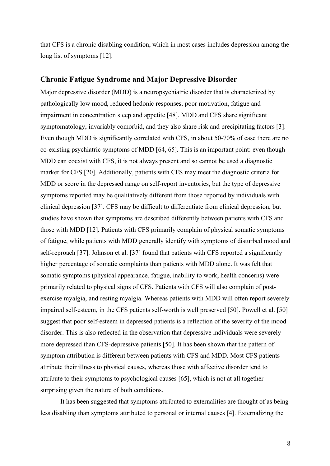that CFS is a chronic disabling condition, which in most cases includes depression among the long list of symptoms [12].

#### **Chronic Fatigue Syndrome and Major Depressive Disorder**

Major depressive disorder (MDD) is a neuropsychiatric disorder that is characterized by pathologically low mood, reduced hedonic responses, poor motivation, fatigue and impairment in concentration sleep and appetite [48]. MDD and CFS share significant symptomatology, invariably comorbid, and they also share risk and precipitating factors [3]. Even though MDD is significantly correlated with CFS, in about 50-70% of case there are no co-existing psychiatric symptoms of MDD [64, 65]. This is an important point: even though MDD can coexist with CFS, it is not always present and so cannot be used a diagnostic marker for CFS [20]. Additionally, patients with CFS may meet the diagnostic criteria for MDD or score in the depressed range on self-report inventories, but the type of depressive symptoms reported may be qualitatively different from those reported by individuals with clinical depression [37]. CFS may be difficult to differentiate from clinical depression, but studies have shown that symptoms are described differently between patients with CFS and those with MDD [12]. Patients with CFS primarily complain of physical somatic symptoms of fatigue, while patients with MDD generally identify with symptoms of disturbed mood and self-reproach [37]. Johnson et al. [37] found that patients with CFS reported a significantly higher percentage of somatic complaints than patients with MDD alone. It was felt that somatic symptoms (physical appearance, fatigue, inability to work, health concerns) were primarily related to physical signs of CFS. Patients with CFS will also complain of postexercise myalgia, and resting myalgia. Whereas patients with MDD will often report severely impaired self-esteem, in the CFS patients self-worth is well preserved [50]. Powell et al. [50] suggest that poor self-esteem in depressed patients is a reflection of the severity of the mood disorder. This is also reflected in the observation that depressive individuals were severely more depressed than CFS-depressive patients [50]. It has been shown that the pattern of symptom attribution is different between patients with CFS and MDD. Most CFS patients attribute their illness to physical causes, whereas those with affective disorder tend to attribute to their symptoms to psychological causes [65], which is not at all together surprising given the nature of both conditions.

It has been suggested that symptoms attributed to externalities are thought of as being less disabling than symptoms attributed to personal or internal causes [4]. Externalizing the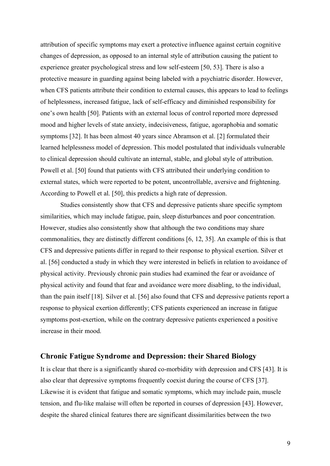attribution of specific symptoms may exert a protective influence against certain cognitive changes of depression, as opposed to an internal style of attribution causing the patient to experience greater psychological stress and low self-esteem [50, 53]. There is also a protective measure in guarding against being labeled with a psychiatric disorder. However, when CFS patients attribute their condition to external causes, this appears to lead to feelings of helplessness, increased fatigue, lack of self-efficacy and diminished responsibility for one's own health [50]. Patients with an external locus of control reported more depressed mood and higher levels of state anxiety, indecisiveness, fatigue, agoraphobia and somatic symptoms [32]. It has been almost 40 years since Abramson et al. [2] formulated their learned helplessness model of depression. This model postulated that individuals vulnerable to clinical depression should cultivate an internal, stable, and global style of attribution. Powell et al. [50] found that patients with CFS attributed their underlying condition to external states, which were reported to be potent, uncontrollable, aversive and frightening. According to Powell et al. [50], this predicts a high rate of depression.

Studies consistently show that CFS and depressive patients share specific symptom similarities, which may include fatigue, pain, sleep disturbances and poor concentration. However, studies also consistently show that although the two conditions may share commonalities, they are distinctly different conditions [6, 12, 35]. An example of this is that CFS and depressive patients differ in regard to their response to physical exertion. Silver et al. [56] conducted a study in which they were interested in beliefs in relation to avoidance of physical activity. Previously chronic pain studies had examined the fear or avoidance of physical activity and found that fear and avoidance were more disabling, to the individual, than the pain itself [18]. Silver et al. [56] also found that CFS and depressive patients report a response to physical exertion differently; CFS patients experienced an increase in fatigue symptoms post-exertion, while on the contrary depressive patients experienced a positive increase in their mood.

### **Chronic Fatigue Syndrome and Depression: their Shared Biology**

It is clear that there is a significantly shared co-morbidity with depression and CFS [43]. It is also clear that depressive symptoms frequently coexist during the course of CFS [37]. Likewise it is evident that fatigue and somatic symptoms, which may include pain, muscle tension, and flu-like malaise will often be reported in courses of depression [43]. However, despite the shared clinical features there are significant dissimilarities between the two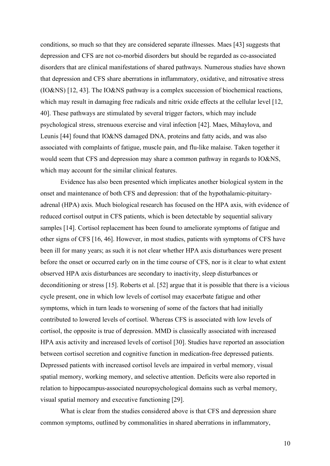conditions, so much so that they are considered separate illnesses. Maes [43] suggests that depression and CFS are not co-morbid disorders but should be regarded as co-associated disorders that are clinical manifestations of shared pathways. Numerous studies have shown that depression and CFS share aberrations in inflammatory, oxidative, and nitrosative stress (IO&NS) [12, 43]. The IO&NS pathway is a complex succession of biochemical reactions, which may result in damaging free radicals and nitric oxide effects at the cellular level [12, 40]. These pathways are stimulated by several trigger factors, which may include psychological stress, strenuous exercise and viral infection [42]. Maes, Mihaylova, and Leunis [44] found that IO&NS damaged DNA, proteins and fatty acids, and was also associated with complaints of fatigue, muscle pain, and flu-like malaise. Taken together it would seem that CFS and depression may share a common pathway in regards to IO&NS, which may account for the similar clinical features.

Evidence has also been presented which implicates another biological system in the onset and maintenance of both CFS and depression: that of the hypothalamic-pituitaryadrenal (HPA) axis. Much biological research has focused on the HPA axis, with evidence of reduced cortisol output in CFS patients, which is been detectable by sequential salivary samples [14]. Cortisol replacement has been found to ameliorate symptoms of fatigue and other signs of CFS [16, 46]. However, in most studies, patients with symptoms of CFS have been ill for many years; as such it is not clear whether HPA axis disturbances were present before the onset or occurred early on in the time course of CFS, nor is it clear to what extent observed HPA axis disturbances are secondary to inactivity, sleep disturbances or deconditioning or stress [15]. Roberts et al. [52] argue that it is possible that there is a vicious cycle present, one in which low levels of cortisol may exacerbate fatigue and other symptoms, which in turn leads to worsening of some of the factors that had initially contributed to lowered levels of cortisol. Whereas CFS is associated with low levels of cortisol, the opposite is true of depression. MMD is classically associated with increased HPA axis activity and increased levels of cortisol [30]. Studies have reported an association between cortisol secretion and cognitive function in medication-free depressed patients. Depressed patients with increased cortisol levels are impaired in verbal memory, visual spatial memory, working memory, and selective attention. Deficits were also reported in relation to hippocampus-associated neuropsychological domains such as verbal memory, visual spatial memory and executive functioning [29].

What is clear from the studies considered above is that CFS and depression share common symptoms, outlined by commonalities in shared aberrations in inflammatory,

10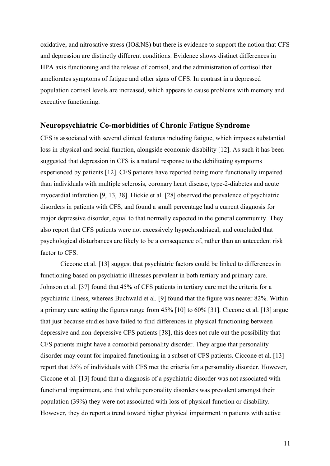oxidative, and nitrosative stress (IO&NS) but there is evidence to support the notion that CFS and depression are distinctly different conditions. Evidence shows distinct differences in HPA axis functioning and the release of cortisol, and the administration of cortisol that ameliorates symptoms of fatigue and other signs of CFS. In contrast in a depressed population cortisol levels are increased, which appears to cause problems with memory and executive functioning.

### **Neuropsychiatric Co-morbidities of Chronic Fatigue Syndrome**

CFS is associated with several clinical features including fatigue, which imposes substantial loss in physical and social function, alongside economic disability [12]. As such it has been suggested that depression in CFS is a natural response to the debilitating symptoms experienced by patients [12]. CFS patients have reported being more functionally impaired than individuals with multiple sclerosis, coronary heart disease, type-2-diabetes and acute myocardial infarction [9, 13, 38]. Hickie et al. [28] observed the prevalence of psychiatric disorders in patients with CFS, and found a small percentage had a current diagnosis for major depressive disorder, equal to that normally expected in the general community. They also report that CFS patients were not excessively hypochondriacal, and concluded that psychological disturbances are likely to be a consequence of, rather than an antecedent risk factor to CFS.

Ciccone et al. [13] suggest that psychiatric factors could be linked to differences in functioning based on psychiatric illnesses prevalent in both tertiary and primary care. Johnson et al. [37] found that 45% of CFS patients in tertiary care met the criteria for a psychiatric illness, whereas Buchwald et al. [9] found that the figure was nearer 82%. Within a primary care setting the figures range from 45% [10] to 60% [31]. Ciccone et al. [13] argue that just because studies have failed to find differences in physical functioning between depressive and non-depressive CFS patients [38], this does not rule out the possibility that CFS patients might have a comorbid personality disorder. They argue that personality disorder may count for impaired functioning in a subset of CFS patients. Ciccone et al. [13] report that 35% of individuals with CFS met the criteria for a personality disorder. However, Ciccone et al. [13] found that a diagnosis of a psychiatric disorder was not associated with functional impairment, and that while personality disorders was prevalent amongst their population (39%) they were not associated with loss of physical function or disability. However, they do report a trend toward higher physical impairment in patients with active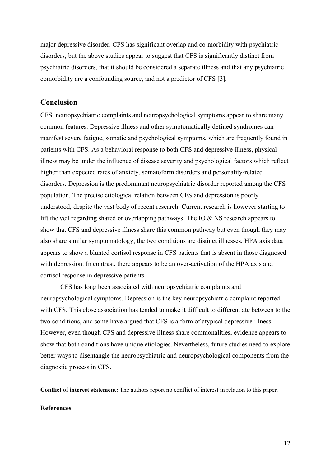major depressive disorder. CFS has significant overlap and co-morbidity with psychiatric disorders, but the above studies appear to suggest that CFS is significantly distinct from psychiatric disorders, that it should be considered a separate illness and that any psychiatric comorbidity are a confounding source, and not a predictor of CFS [3].

## **Conclusion**

CFS, neuropsychiatric complaints and neuropsychological symptoms appear to share many common features. Depressive illness and other symptomatically defined syndromes can manifest severe fatigue, somatic and psychological symptoms, which are frequently found in patients with CFS. As a behavioral response to both CFS and depressive illness, physical illness may be under the influence of disease severity and psychological factors which reflect higher than expected rates of anxiety, somatoform disorders and personality-related disorders. Depression is the predominant neuropsychiatric disorder reported among the CFS population. The precise etiological relation between CFS and depression is poorly understood, despite the vast body of recent research. Current research is however starting to lift the veil regarding shared or overlapping pathways. The IO & NS research appears to show that CFS and depressive illness share this common pathway but even though they may also share similar symptomatology, the two conditions are distinct illnesses. HPA axis data appears to show a blunted cortisol response in CFS patients that is absent in those diagnosed with depression. In contrast, there appears to be an over-activation of the HPA axis and cortisol response in depressive patients.

CFS has long been associated with neuropsychiatric complaints and neuropsychological symptoms. Depression is the key neuropsychiatric complaint reported with CFS. This close association has tended to make it difficult to differentiate between to the two conditions, and some have argued that CFS is a form of atypical depressive illness. However, even though CFS and depressive illness share commonalities, evidence appears to show that both conditions have unique etiologies. Nevertheless, future studies need to explore better ways to disentangle the neuropsychiatric and neuropsychological components from the diagnostic process in CFS.

**Conflict of interest statement:** The authors report no conflict of interest in relation to this paper.

#### **References**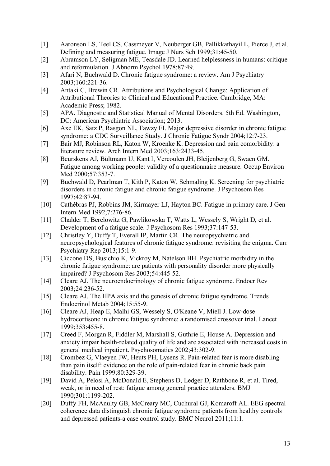- [1] Aaronson LS, Teel CS, Cassmeyer V, Neuberger GB, Pallikkathayil L, Pierce J, et al. Defining and measuring fatigue. Image J Nurs Sch 1999;31:45-50.
- [2] Abramson LY, Seligman ME, Teasdale JD. Learned helplessness in humans: critique and reformulation. J Abnorm Psychol 1978;87:49.
- [3] Afari N, Buchwald D. Chronic fatigue syndrome: a review. Am J Psychiatry 2003;160:221-36.
- [4] Antaki C, Brewin CR. Attributions and Psychological Change: Application of Attributional Theories to Clinical and Educational Practice. Cambridge, MA: Academic Press; 1982.
- [5] APA. Diagnostic and Statistical Manual of Mental Disorders. 5th Ed. Washington, DC: American Psychiatric Association; 2013.
- [6] Axe EK, Satz P, Rasgon NL, Fawzy FI. Major depressive disorder in chronic fatigue syndrome: a CDC Surveillance Study. J Chronic Fatigue Syndr 2004;12:7-23.
- [7] Bair MJ, Robinson RL, Katon W, Kroenke K. Depression and pain comorbidity: a literature review. Arch Intern Med 2003;163:2433-45.
- [8] Beurskens AJ, Bültmann U, Kant I, Vercoulen JH, Bleijenberg G, Swaen GM. Fatigue among working people: validity of a questionnaire measure. Occup Environ Med 2000;57:353-7.
- [9] Buchwald D, Pearlman T, Kith P, Katon W, Schmaling K. Screening for psychiatric disorders in chronic fatigue and chronic fatigue syndrome. J Psychosom Res 1997;42:87-94.
- [10] Cathébras PJ, Robbins JM, Kirmayer LJ, Hayton BC. Fatigue in primary care. J Gen Intern Med 1992;7:276-86.
- [11] Chalder T, Berelowitz G, Pawlikowska T, Watts L, Wessely S, Wright D, et al. Development of a fatigue scale. J Psychosom Res 1993;37:147-53.
- [12] Christley Y, Duffy T, Everall IP, Martin CR. The neuropsychiatric and neuropsychological features of chronic fatigue syndrome: revisiting the enigma. Curr Psychiatry Rep 2013;15:1-9.
- [13] Ciccone DS, Busichio K, Vickroy M, Natelson BH. Psychiatric morbidity in the chronic fatigue syndrome: are patients with personality disorder more physically impaired? J Psychosom Res 2003;54:445-52.
- [14] Cleare AJ. The neuroendocrinology of chronic fatigue syndrome. Endocr Rev 2003;24:236-52.
- [15] Cleare AJ. The HPA axis and the genesis of chronic fatigue syndrome. Trends Endocrinol Metab 2004;15:55-9.
- [16] Cleare AJ, Heap E, Malhi GS, Wessely S, O'Keane V, Miell J. Low-dose hydrocortisone in chronic fatigue syndrome: a randomised crossover trial. Lancet 1999;353:455-8.
- [17] Creed F, Morgan R, Fiddler M, Marshall S, Guthrie E, House A. Depression and anxiety impair health-related quality of life and are associated with increased costs in general medical inpatient. Psychosomatics 2002;43:302-9.
- [18] Crombez G, Vlaeyen JW, Heuts PH, Lysens R. Pain-related fear is more disabling than pain itself: evidence on the role of pain-related fear in chronic back pain disability. Pain 1999;80:329-39.
- [19] David A, Pelosi A, McDonald E, Stephens D, Ledger D, Rathbone R, et al. Tired, weak, or in need of rest: fatigue among general practice attenders. BMJ 1990;301:1199-202.
- [20] Duffy FH, McAnulty GB, McCreary MC, Cuchural GJ, Komaroff AL. EEG spectral coherence data distinguish chronic fatigue syndrome patients from healthy controls and depressed patients-a case control study. BMC Neurol 2011;11:1.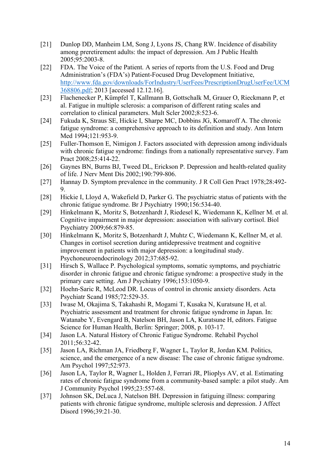- [21] Dunlop DD, Manheim LM, Song J, Lyons JS, Chang RW. Incidence of disability among preretirement adults: the impact of depression. Am J Public Health 2005;95:2003-8.
- [22] FDA. The Voice of the Patient. A series of reports from the U.S. Food and Drug Administration's (FDA's) Patient-Focused Drug Development Initiative, http://www.fda.gov/downloads/ForIndustry/UserFees/PrescriptionDrugUserFee/UCM 368806.pdf; 2013 [accessed 12.12.16].
- [23] Flachenecker P, Kümpfel T, Kallmann B, Gottschalk M, Grauer O, Rieckmann P, et al. Fatigue in multiple sclerosis: a comparison of different rating scales and correlation to clinical parameters. Mult Scler 2002;8:523-6.
- [24] Fukuda K, Straus SE, Hickie I, Sharpe MC, Dobbins JG, Komaroff A. The chronic fatigue syndrome: a comprehensive approach to its definition and study. Ann Intern Med 1994;121:953-9.
- [25] Fuller-Thomson E, Nimigon J. Factors associated with depression among individuals with chronic fatigue syndrome: findings from a nationally representative survey. Fam Pract 2008;25:414-22.
- [26] Gaynes BN, Burns BJ, Tweed DL, Erickson P. Depression and health-related quality of life. J Nerv Ment Dis 2002;190:799-806.
- [27] Hannay D. Symptom prevalence in the community. J R Coll Gen Pract 1978;28:492- 9.
- [28] Hickie I, Lloyd A, Wakefield D, Parker G. The psychiatric status of patients with the chronic fatigue syndrome. Br J Psychiatry 1990;156:534-40.
- [29] Hinkelmann K, Moritz S, Botzenhardt J, Riedesel K, Wiedemann K, Kellner M. et al. Cognitive impairment in major depression: association with salivary cortisol. Biol Psychiatry 2009;66:879-85.
- [30] Hinkelmann K, Moritz S, Botzenhardt J, Muhtz C, Wiedemann K, Kellner M, et al. Changes in cortisol secretion during antidepressive treatment and cognitive improvement in patients with major depression: a longitudinal study. Psychoneuroendocrinology 2012;37:685-92.
- [31] Hirsch S, Wallace P. Psychological symptoms, somatic symptoms, and psychiatric disorder in chronic fatigue and chronic fatigue syndrome: a prospective study in the primary care setting. Am J Psychiatry 1996;153:1050-9.
- [32] Hoehn-Saric R, McLeod DR. Locus of control in chronic anxiety disorders. Acta Psychiatr Scand 1985;72:529-35.
- [33] Iwase M, Okajima S, Takahashi R, Mogami T, Kusaka N, Kuratsune H, et al. Psychiatric assessment and treatment for chronic fatigue syndrome in Japan. In: Watanabe Y, Evengard B, Natelson BH, Jason LA, Kuratsune H, editors. Fatigue Science for Human Health, Berlin: Springer; 2008, p. 103-17.
- [34] Jason LA. Natural History of Chronic Fatigue Syndrome. Rehabil Psychol 2011;56:32-42.
- [35] Jason LA, Richman JA, Friedberg F, Wagner L, Taylor R, Jordan KM. Politics, science, and the emergence of a new disease: The case of chronic fatigue syndrome. Am Psychol 1997;52:973.
- [36] Jason LA, Taylor R, Wagner L, Holden J, Ferrari JR, Plioplys AV, et al. Estimating rates of chronic fatigue syndrome from a community-based sample: a pilot study. Am J Community Psychol 1995;23:557-68.
- [37] Johnson SK, DeLuca J, Natelson BH. Depression in fatiguing illness: comparing patients with chronic fatigue syndrome, multiple sclerosis and depression. J Affect Disord 1996;39:21-30.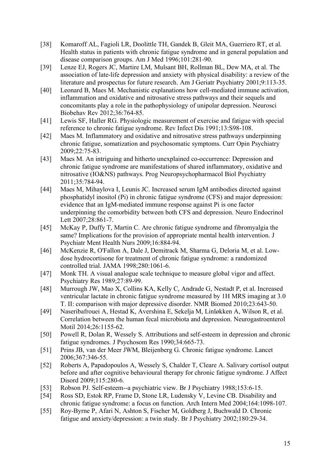- [38] Komaroff AL, Fagioli LR, Doolittle TH, Gandek B, Gleit MA, Guerriero RT, et al. Health status in patients with chronic fatigue syndrome and in general population and disease comparison groups. Am J Med 1996;101:281-90.
- [39] Lenze EJ, Rogers JC, Martire LM, Mulsant BH, Rollman BL, Dew MA, et al. The association of late-life depression and anxiety with physical disability: a review of the literature and prospectus for future research. Am J Geriatr Psychiatry 2001;9:113-35.
- [40] Leonard B, Maes M. Mechanistic explanations how cell-mediated immune activation, inflammation and oxidative and nitrosative stress pathways and their sequels and concomitants play a role in the pathophysiology of unipolar depression. Neurosci Biobehav Rev 2012;36:764-85.
- [41] Lewis SF, Haller RG. Physiologic measurement of exercise and fatigue with special reference to chronic fatigue syndrome. Rev Infect Dis 1991;13:S98-108.
- [42] Maes M. Inflammatory and oxidative and nitrosative stress pathways underpinning chronic fatigue, somatization and psychosomatic symptoms. Curr Opin Psychiatry 2009;22:75-83.
- [43] Maes M. An intriguing and hitherto unexplained co-occurrence: Depression and chronic fatigue syndrome are manifestations of shared inflammatory, oxidative and nitrosative (IO&NS) pathways. Prog Neuropsychopharmacol Biol Psychiatry 2011;35:784-94.
- [44] Maes M, Mihaylova I, Leunis JC. Increased serum IgM antibodies directed against phosphatidyl inositol (Pi) in chronic fatigue syndrome (CFS) and major depression: evidence that an IgM-mediated immune response against Pi is one factor underpinning the comorbidity between both CFS and depression. Neuro Endocrinol Lett 2007;28:861-7.
- [45] McKay P, Duffy T, Martin C. Are chronic fatigue syndrome and fibromyalgia the same? Implications for the provision of appropriate mental health intervention. J Psychiatr Ment Health Nurs 2009;16:884-94.
- [46] McKenzie R, O'Fallon A, Dale J, Demitrack M, Sharma G, Deloria M, et al. Lowdose hydrocortisone for treatment of chronic fatigue syndrome: a randomized controlled trial. JAMA 1998;280:1061-6.
- [47] Monk TH. A visual analogue scale technique to measure global vigor and affect. Psychiatry Res 1989;27:89-99.
- [48] Murrough JW, Mao X, Collins KA, Kelly C, Andrade G, Nestadt P, et al. Increased ventricular lactate in chronic fatigue syndrome measured by 1H MRS imaging at 3.0 T. II: comparison with major depressive disorder. NMR Biomed 2010;23:643-50.
- [49] Naseribafrouei A, Hestad K, Avershina E, Sekelja M, Linløkken A, Wilson R, et al. Correlation between the human fecal microbiota and depression. Neurogastroenterol Motil 2014;26:1155-62.
- [50] Powell R, Dolan R, Wessely S. Attributions and self-esteem in depression and chronic fatigue syndromes. J Psychosom Res 1990;34:665-73.
- [51] Prins JB, van der Meer JWM, Bleijenberg G. Chronic fatigue syndrome. Lancet 2006;367:346-55.
- [52] Roberts A, Papadopoulos A, Wessely S, Chalder T, Cleare A. Salivary cortisol output before and after cognitive behavioural therapy for chronic fatigue syndrome. J Affect Disord 2009;115:280-6.
- [53] Robson PJ. Self-esteem--a psychiatric view. Br J Psychiatry 1988;153:6-15.
- [54] Ross SD, Estok RP, Frame D, Stone LR, Ludensky V, Levine CB. Disability and chronic fatigue syndrome: a focus on function. Arch Intern Med 2004;164:1098-107.
- [55] Roy-Byrne P, Afari N, Ashton S, Fischer M, Goldberg J, Buchwald D. Chronic fatigue and anxiety/depression: a twin study. Br J Psychiatry 2002;180:29-34.